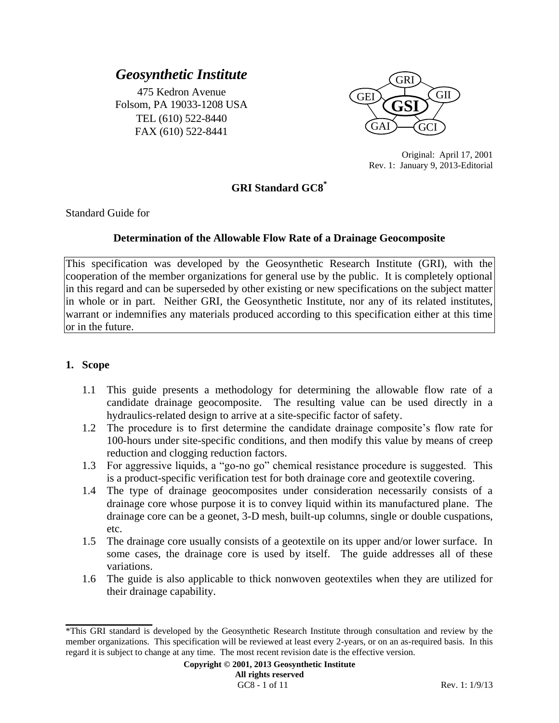# *Geosynthetic Institute*

475 Kedron Avenue Folsom, PA 19033-1208 USA TEL (610) 522-8440 FAX (610) 522-8441



Original: April 17, 2001 Rev. 1: January 9, 2013-Editorial

# **GRI Standard GC8\***

Standard Guide for

#### **Determination of the Allowable Flow Rate of a Drainage Geocomposite**

This specification was developed by the Geosynthetic Research Institute (GRI), with the cooperation of the member organizations for general use by the public. It is completely optional in this regard and can be superseded by other existing or new specifications on the subject matter in whole or in part. Neither GRI, the Geosynthetic Institute, nor any of its related institutes, warrant or indemnifies any materials produced according to this specification either at this time or in the future.

## **1. Scope**

**\_\_\_\_\_\_\_\_\_\_\_\_\_\_\_\_\_\_\_**

- 1.1 This guide presents a methodology for determining the allowable flow rate of a candidate drainage geocomposite. The resulting value can be used directly in a hydraulics-related design to arrive at a site-specific factor of safety.
- 1.2 The procedure is to first determine the candidate drainage composite's flow rate for 100-hours under site-specific conditions, and then modify this value by means of creep reduction and clogging reduction factors.
- 1.3 For aggressive liquids, a "go-no go" chemical resistance procedure is suggested. This is a product-specific verification test for both drainage core and geotextile covering.
- 1.4 The type of drainage geocomposites under consideration necessarily consists of a drainage core whose purpose it is to convey liquid within its manufactured plane. The drainage core can be a geonet, 3-D mesh, built-up columns, single or double cuspations, etc.
- 1.5 The drainage core usually consists of a geotextile on its upper and/or lower surface. In some cases, the drainage core is used by itself. The guide addresses all of these variations.
- 1.6 The guide is also applicable to thick nonwoven geotextiles when they are utilized for their drainage capability.

<sup>\*</sup>This GRI standard is developed by the Geosynthetic Research Institute through consultation and review by the member organizations. This specification will be reviewed at least every 2-years, or on an as-required basis. In this regard it is subject to change at any time. The most recent revision date is the effective version.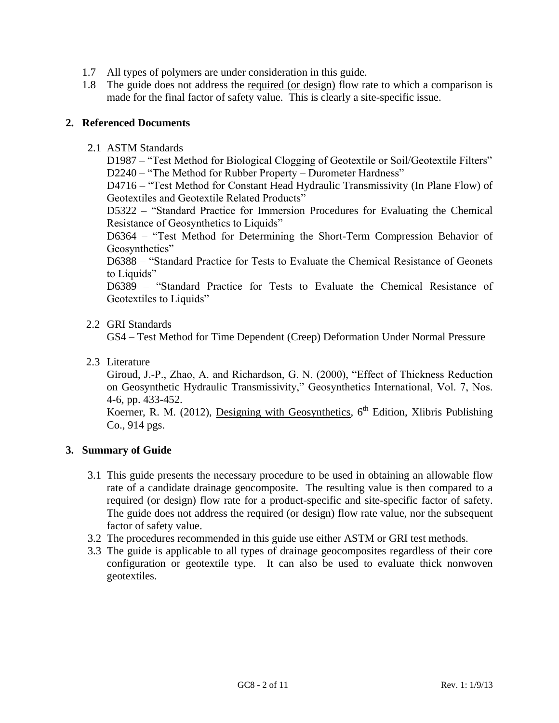- 1.7 All types of polymers are under consideration in this guide.
- 1.8 The guide does not address the required (or design) flow rate to which a comparison is made for the final factor of safety value. This is clearly a site-specific issue.

## **2. Referenced Documents**

2.1 ASTM Standards

D1987 – "Test Method for Biological Clogging of Geotextile or Soil/Geotextile Filters" D2240 – "The Method for Rubber Property – Durometer Hardness"

D4716 – "Test Method for Constant Head Hydraulic Transmissivity (In Plane Flow) of Geotextiles and Geotextile Related Products"

D5322 – "Standard Practice for Immersion Procedures for Evaluating the Chemical Resistance of Geosynthetics to Liquids"

D6364 – "Test Method for Determining the Short-Term Compression Behavior of Geosynthetics"

D6388 – "Standard Practice for Tests to Evaluate the Chemical Resistance of Geonets to Liquids"

D6389 – "Standard Practice for Tests to Evaluate the Chemical Resistance of Geotextiles to Liquids"

#### 2.2 GRI Standards

GS4 – Test Method for Time Dependent (Creep) Deformation Under Normal Pressure

2.3 Literature

Giroud, J.-P., Zhao, A. and Richardson, G. N. (2000), "Effect of Thickness Reduction on Geosynthetic Hydraulic Transmissivity," Geosynthetics International, Vol. 7, Nos. 4-6, pp. 433-452.

Koerner, R. M. (2012), Designing with Geosynthetics,  $6<sup>th</sup>$  Edition, Xlibris Publishing Co., 914 pgs.

#### **3. Summary of Guide**

- 3.1 This guide presents the necessary procedure to be used in obtaining an allowable flow rate of a candidate drainage geocomposite. The resulting value is then compared to a required (or design) flow rate for a product-specific and site-specific factor of safety. The guide does not address the required (or design) flow rate value, nor the subsequent factor of safety value.
- 3.2 The procedures recommended in this guide use either ASTM or GRI test methods.
- 3.3 The guide is applicable to all types of drainage geocomposites regardless of their core configuration or geotextile type. It can also be used to evaluate thick nonwoven geotextiles.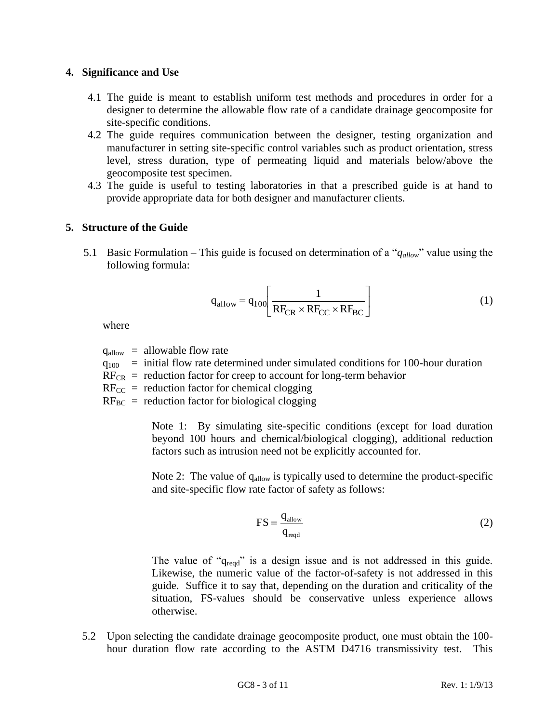#### **4. Significance and Use**

- 4.1 The guide is meant to establish uniform test methods and procedures in order for a designer to determine the allowable flow rate of a candidate drainage geocomposite for site-specific conditions.
- 4.2 The guide requires communication between the designer, testing organization and manufacturer in setting site-specific control variables such as product orientation, stress level, stress duration, type of permeating liquid and materials below/above the geocomposite test specimen.
- 4.3 The guide is useful to testing laboratories in that a prescribed guide is at hand to provide appropriate data for both designer and manufacturer clients.

## **5. Structure of the Guide**

5.1 Basic Formulation – This guide is focused on determination of a "*qallow*" value using the following formula:

$$
q_{\text{allow}} = q_{100} \left[ \frac{1}{\text{RF}_{\text{CR}} \times \text{RF}_{\text{CC}} \times \text{RF}_{\text{BC}}} \right]
$$
 (1)

where

 $q_{\text{allow}} = \text{allowable flow rate}$ 

- $q_{100}$  = initial flow rate determined under simulated conditions for 100-hour duration
- $RF_{CR}$  = reduction factor for creep to account for long-term behavior
- $RF_{CC}$  = reduction factor for chemical clogging
- $RF_{BC}$  = reduction factor for biological clogging

Note 1: By simulating site-specific conditions (except for load duration beyond 100 hours and chemical/biological clogging), additional reduction factors such as intrusion need not be explicitly accounted for.

Note 2: The value of  $q_{\text{allow}}$  is typically used to determine the product-specific and site-specific flow rate factor of safety as follows:

$$
FS = \frac{q_{\text{allow}}}{q_{\text{req}}}
$$
 (2)

The value of " $q_{\text{read}}$ " is a design issue and is not addressed in this guide. Likewise, the numeric value of the factor-of-safety is not addressed in this guide. Suffice it to say that, depending on the duration and criticality of the situation, FS-values should be conservative unless experience allows otherwise.

5.2 Upon selecting the candidate drainage geocomposite product, one must obtain the 100 hour duration flow rate according to the ASTM D4716 transmissivity test. This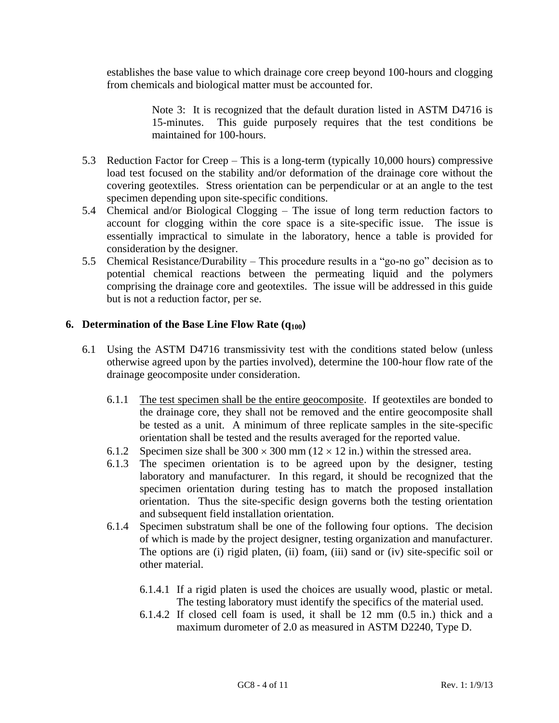establishes the base value to which drainage core creep beyond 100-hours and clogging from chemicals and biological matter must be accounted for.

> Note 3: It is recognized that the default duration listed in ASTM D4716 is 15-minutes. This guide purposely requires that the test conditions be maintained for 100-hours.

- 5.3 Reduction Factor for Creep This is a long-term (typically 10,000 hours) compressive load test focused on the stability and/or deformation of the drainage core without the covering geotextiles. Stress orientation can be perpendicular or at an angle to the test specimen depending upon site-specific conditions.
- 5.4 Chemical and/or Biological Clogging The issue of long term reduction factors to account for clogging within the core space is a site-specific issue. The issue is essentially impractical to simulate in the laboratory, hence a table is provided for consideration by the designer.
- 5.5 Chemical Resistance/Durability This procedure results in a "go-no go" decision as to potential chemical reactions between the permeating liquid and the polymers comprising the drainage core and geotextiles. The issue will be addressed in this guide but is not a reduction factor, per se.

## **6. Determination of the Base Line Flow Rate (q100)**

- 6.1 Using the ASTM D4716 transmissivity test with the conditions stated below (unless otherwise agreed upon by the parties involved), determine the 100-hour flow rate of the drainage geocomposite under consideration.
	- 6.1.1 The test specimen shall be the entire geocomposite. If geotextiles are bonded to the drainage core, they shall not be removed and the entire geocomposite shall be tested as a unit. A minimum of three replicate samples in the site-specific orientation shall be tested and the results averaged for the reported value.
	- 6.1.2 Specimen size shall be  $300 \times 300$  mm ( $12 \times 12$  in.) within the stressed area.
	- 6.1.3 The specimen orientation is to be agreed upon by the designer, testing laboratory and manufacturer. In this regard, it should be recognized that the specimen orientation during testing has to match the proposed installation orientation. Thus the site-specific design governs both the testing orientation and subsequent field installation orientation.
	- 6.1.4 Specimen substratum shall be one of the following four options. The decision of which is made by the project designer, testing organization and manufacturer. The options are (i) rigid platen, (ii) foam, (iii) sand or (iv) site-specific soil or other material.
		- 6.1.4.1 If a rigid platen is used the choices are usually wood, plastic or metal. The testing laboratory must identify the specifics of the material used.
		- 6.1.4.2 If closed cell foam is used, it shall be 12 mm (0.5 in.) thick and a maximum durometer of 2.0 as measured in ASTM D2240, Type D.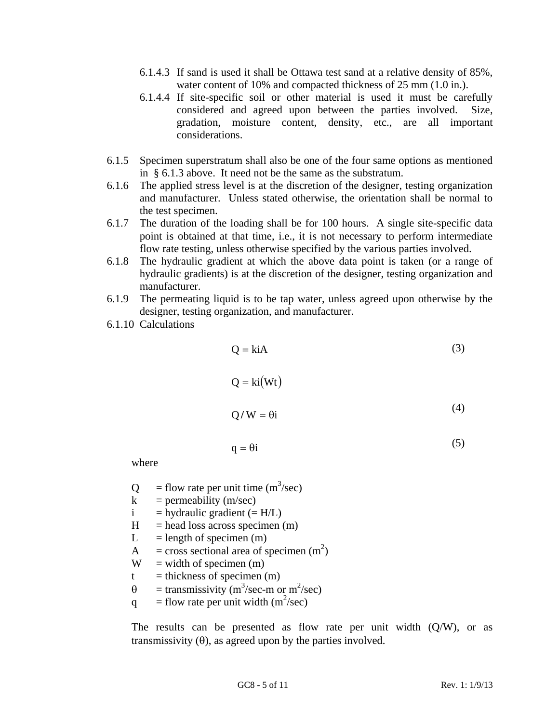- 6.1.4.3 If sand is used it shall be Ottawa test sand at a relative density of 85%, water content of 10% and compacted thickness of 25 mm (1.0 in.).
- 6.1.4.4 If site-specific soil or other material is used it must be carefully considered and agreed upon between the parties involved. Size, gradation, moisture content, density, etc., are all important considerations.
- 6.1.5 Specimen superstratum shall also be one of the four same options as mentioned in § 6.1.3 above. It need not be the same as the substratum.
- 6.1.6 The applied stress level is at the discretion of the designer, testing organization and manufacturer. Unless stated otherwise, the orientation shall be normal to the test specimen.
- 6.1.7 The duration of the loading shall be for 100 hours. A single site-specific data point is obtained at that time, i.e., it is not necessary to perform intermediate flow rate testing, unless otherwise specified by the various parties involved.
- 6.1.8 The hydraulic gradient at which the above data point is taken (or a range of hydraulic gradients) is at the discretion of the designer, testing organization and manufacturer.
- 6.1.9 The permeating liquid is to be tap water, unless agreed upon otherwise by the designer, testing organization, and manufacturer.
- 6.1.10 Calculations

$$
Q = k i A
$$
 (3)  
 
$$
Q = k i (Wt)
$$
 (4)  
 
$$
Q/W = \theta i
$$

$$
q = \theta i \tag{5}
$$

where

- $Q =$  flow rate per unit time (m<sup>3</sup>/sec)
- $k =$  permeability (m/sec)
- $i =$  hydraulic gradient (= H/L)
- $H =$  head loss across specimen (m)
- $L =$  length of specimen (m)
- A = cross sectional area of specimen  $(m<sup>2</sup>)$
- $W = width of specimen (m)$
- $t =$  thickness of specimen (m)
- $\theta$  = transmissivity (m<sup>3</sup>/sec-m or m<sup>2</sup>/sec)
- q = flow rate per unit width  $(m^2/sec)$

The results can be presented as flow rate per unit width  $(Q/W)$ , or as transmissivity  $(\theta)$ , as agreed upon by the parties involved.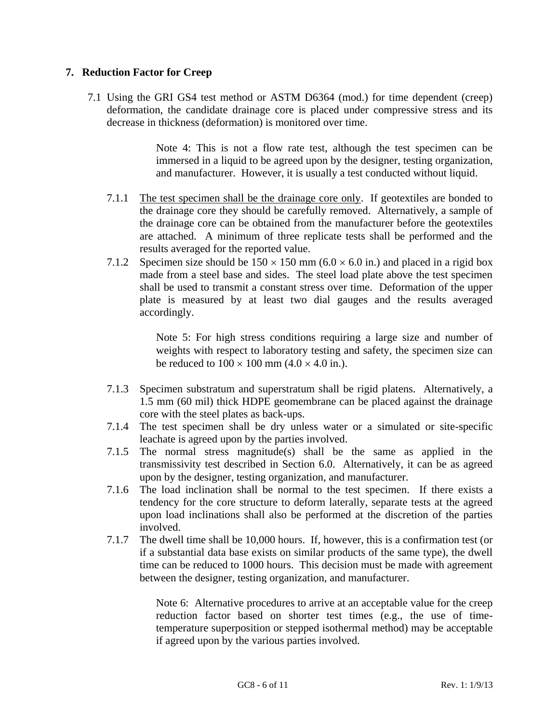## **7. Reduction Factor for Creep**

7.1 Using the GRI GS4 test method or ASTM D6364 (mod.) for time dependent (creep) deformation, the candidate drainage core is placed under compressive stress and its decrease in thickness (deformation) is monitored over time.

> Note 4: This is not a flow rate test, although the test specimen can be immersed in a liquid to be agreed upon by the designer, testing organization, and manufacturer. However, it is usually a test conducted without liquid.

- 7.1.1 The test specimen shall be the drainage core only. If geotextiles are bonded to the drainage core they should be carefully removed. Alternatively, a sample of the drainage core can be obtained from the manufacturer before the geotextiles are attached. A minimum of three replicate tests shall be performed and the results averaged for the reported value.
- 7.1.2 Specimen size should be  $150 \times 150$  mm (6.0  $\times$  6.0 in.) and placed in a rigid box made from a steel base and sides. The steel load plate above the test specimen shall be used to transmit a constant stress over time. Deformation of the upper plate is measured by at least two dial gauges and the results averaged accordingly.

Note 5: For high stress conditions requiring a large size and number of weights with respect to laboratory testing and safety, the specimen size can be reduced to  $100 \times 100$  mm  $(4.0 \times 4.0$  in.).

- 7.1.3 Specimen substratum and superstratum shall be rigid platens. Alternatively, a 1.5 mm (60 mil) thick HDPE geomembrane can be placed against the drainage core with the steel plates as back-ups.
- 7.1.4 The test specimen shall be dry unless water or a simulated or site-specific leachate is agreed upon by the parties involved.
- 7.1.5 The normal stress magnitude(s) shall be the same as applied in the transmissivity test described in Section 6.0. Alternatively, it can be as agreed upon by the designer, testing organization, and manufacturer.
- 7.1.6 The load inclination shall be normal to the test specimen. If there exists a tendency for the core structure to deform laterally, separate tests at the agreed upon load inclinations shall also be performed at the discretion of the parties involved.
- 7.1.7 The dwell time shall be 10,000 hours. If, however, this is a confirmation test (or if a substantial data base exists on similar products of the same type), the dwell time can be reduced to 1000 hours. This decision must be made with agreement between the designer, testing organization, and manufacturer.

Note 6: Alternative procedures to arrive at an acceptable value for the creep reduction factor based on shorter test times (e.g., the use of timetemperature superposition or stepped isothermal method) may be acceptable if agreed upon by the various parties involved.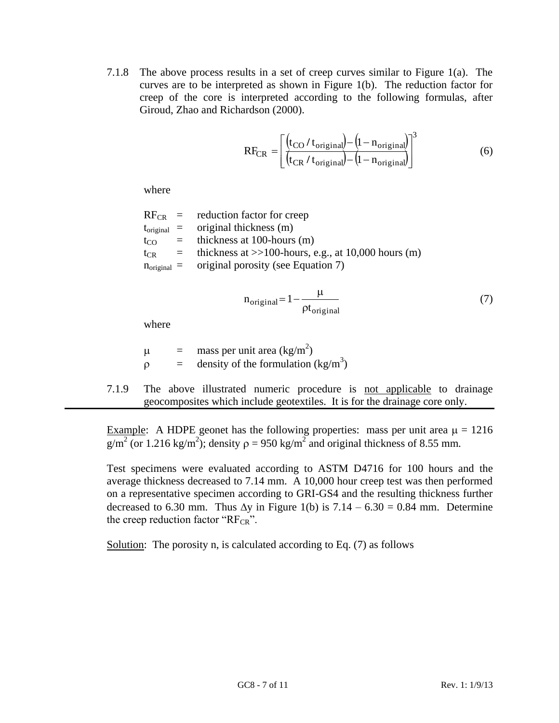7.1.8 The above process results in a set of creep curves similar to Figure 1(a). The curves are to be interpreted as shown in Figure 1(b). The reduction factor for creep of the core is interpreted according to the following formulas, after Giroud, Zhao and Richardson (2000).

$$
RF_{CR} = \left[ \frac{\left(t_{CO} / t_{original}\right) - \left(1 - n_{original}\right)}{\left(t_{CR} / t_{original}\right) - \left(1 - n_{original}\right)}\right]^{3}
$$
(6)

where

|          | $RF_{CR}$ = reduction factor for creep                         |
|----------|----------------------------------------------------------------|
|          | $t_{original}$ = original thickness (m)                        |
| $t_{CO}$ | $=$ thickness at 100-hours (m)                                 |
|          | $t_{CR}$ = thickness at >>100-hours, e.g., at 10,000 hours (m) |
|          | $n_{original}$ = original porosity (see Equation 7)            |
|          |                                                                |

$$
n_{original} = 1 - \frac{\mu}{\rho t_{original}}
$$
 (7)

where

$$
μ = mass per unit area (kg/m2)\nρ = density of the formulation (kg/m3)
$$

7.1.9 The above illustrated numeric procedure is not applicable to drainage geocomposites which include geotextiles. It is for the drainage core only.

Example: A HDPE geonet has the following properties: mass per unit area  $\mu = 1216$  $g/m^2$  (or 1.216 kg/m<sup>2</sup>); density  $\rho = 950$  kg/m<sup>2</sup> and original thickness of 8.55 mm.

Test specimens were evaluated according to ASTM D4716 for 100 hours and the average thickness decreased to 7.14 mm. A 10,000 hour creep test was then performed on a representative specimen according to GRI-GS4 and the resulting thickness further decreased to 6.30 mm. Thus  $\Delta y$  in Figure 1(b) is 7.14 – 6.30 = 0.84 mm. Determine the creep reduction factor " $RF_{CR}$ ".

Solution: The porosity n, is calculated according to Eq. (7) as follows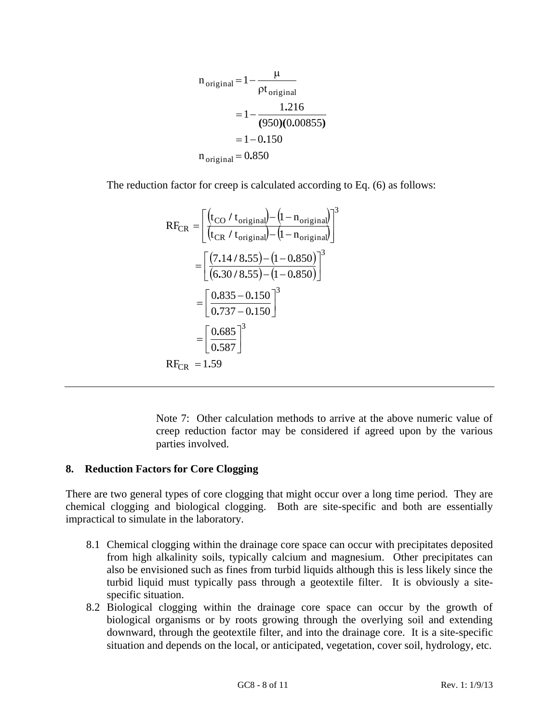$$
n_{original} = 1 - \frac{\mu}{\rho t_{original}}
$$
  
= 1 - \frac{1.216}{(950)(0.00855)}  
= 1 - 0.150  

$$
n_{original} = 0.850
$$

The reduction factor for creep is calculated according to Eq. (6) as follows:

$$
RF_{CR} = \left[ \frac{\left(t_{CO} / t_{original}\right) - \left(1 - n_{original}\right)}{\left(t_{CR} / t_{original}\right) - \left(1 - n_{original}\right)} \right]^3
$$

$$
= \left[ \frac{(7.14 / 8.55) - (1 - 0.850)}{\left(6.30 / 8.55\right) - \left(1 - 0.850\right)} \right]^3
$$

$$
= \left[ \frac{0.835 - 0.150}{0.737 - 0.150} \right]^3
$$

$$
= \left[ \frac{0.685}{0.587} \right]^3
$$

$$
RF_{CR} = 1.59
$$

Note 7: Other calculation methods to arrive at the above numeric value of creep reduction factor may be considered if agreed upon by the various parties involved.

## **8. Reduction Factors for Core Clogging**

There are two general types of core clogging that might occur over a long time period. They are chemical clogging and biological clogging. Both are site-specific and both are essentially impractical to simulate in the laboratory.

- 8.1 Chemical clogging within the drainage core space can occur with precipitates deposited from high alkalinity soils, typically calcium and magnesium. Other precipitates can also be envisioned such as fines from turbid liquids although this is less likely since the turbid liquid must typically pass through a geotextile filter. It is obviously a sitespecific situation.
- 8.2 Biological clogging within the drainage core space can occur by the growth of biological organisms or by roots growing through the overlying soil and extending downward, through the geotextile filter, and into the drainage core. It is a site-specific situation and depends on the local, or anticipated, vegetation, cover soil, hydrology, etc.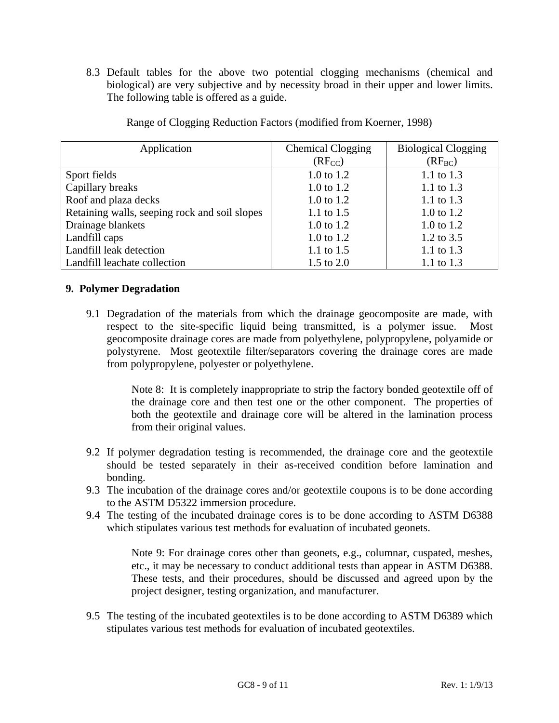8.3 Default tables for the above two potential clogging mechanisms (chemical and biological) are very subjective and by necessity broad in their upper and lower limits. The following table is offered as a guide.

| Application                                   | <b>Chemical Clogging</b> | <b>Biological Clogging</b> |
|-----------------------------------------------|--------------------------|----------------------------|
|                                               | $(RF_{CC})$              | $(RF_{BC})$                |
| Sport fields                                  | 1.0 to $1.2$             | 1.1 to $1.3$               |
| Capillary breaks                              | $1.0 \text{ to } 1.2$    | 1.1 to 1.3                 |
| Roof and plaza decks                          | $1.0$ to $1.2$           | 1.1 to 1.3                 |
| Retaining walls, seeping rock and soil slopes | 1.1 to $1.5$             | 1.0 to 1.2                 |
| Drainage blankets                             | $1.0$ to $1.2$           | $1.0 \text{ to } 1.2$      |
| Landfill caps                                 | 1.0 to 1.2               | 1.2 to $3.5$               |
| Landfill leak detection                       | 1.1 to $1.5$             | 1.1 to 1.3                 |
| Landfill leachate collection                  | 1.5 to $2.0$             | 1.1 to $1.3$               |

Range of Clogging Reduction Factors (modified from Koerner, 1998)

## **9. Polymer Degradation**

9.1 Degradation of the materials from which the drainage geocomposite are made, with respect to the site-specific liquid being transmitted, is a polymer issue. Most geocomposite drainage cores are made from polyethylene, polypropylene, polyamide or polystyrene. Most geotextile filter/separators covering the drainage cores are made from polypropylene, polyester or polyethylene.

> Note 8: It is completely inappropriate to strip the factory bonded geotextile off of the drainage core and then test one or the other component. The properties of both the geotextile and drainage core will be altered in the lamination process from their original values.

- 9.2 If polymer degradation testing is recommended, the drainage core and the geotextile should be tested separately in their as-received condition before lamination and bonding.
- 9.3 The incubation of the drainage cores and/or geotextile coupons is to be done according to the ASTM D5322 immersion procedure.
- 9.4 The testing of the incubated drainage cores is to be done according to ASTM D6388 which stipulates various test methods for evaluation of incubated geonets.

Note 9: For drainage cores other than geonets, e.g., columnar, cuspated, meshes, etc., it may be necessary to conduct additional tests than appear in ASTM D6388. These tests, and their procedures, should be discussed and agreed upon by the project designer, testing organization, and manufacturer.

9.5 The testing of the incubated geotextiles is to be done according to ASTM D6389 which stipulates various test methods for evaluation of incubated geotextiles.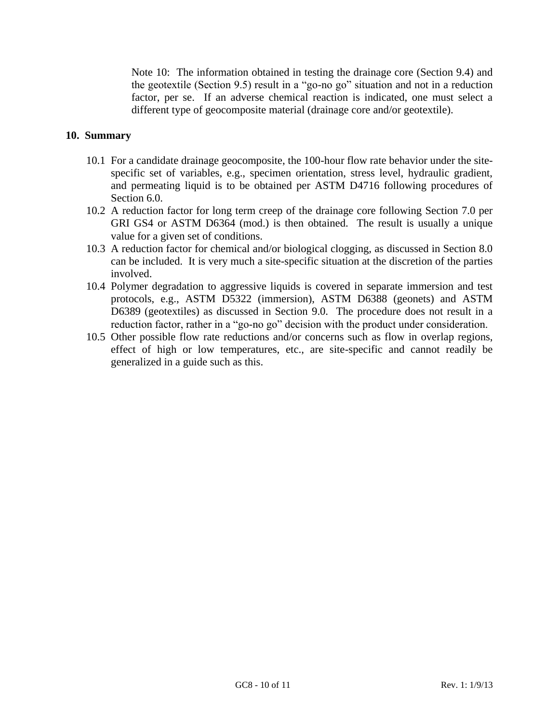Note 10: The information obtained in testing the drainage core (Section 9.4) and the geotextile (Section 9.5) result in a "go-no go" situation and not in a reduction factor, per se. If an adverse chemical reaction is indicated, one must select a different type of geocomposite material (drainage core and/or geotextile).

## **10. Summary**

- 10.1 For a candidate drainage geocomposite, the 100-hour flow rate behavior under the sitespecific set of variables, e.g., specimen orientation, stress level, hydraulic gradient, and permeating liquid is to be obtained per ASTM D4716 following procedures of Section 6.0.
- 10.2 A reduction factor for long term creep of the drainage core following Section 7.0 per GRI GS4 or ASTM D6364 (mod.) is then obtained. The result is usually a unique value for a given set of conditions.
- 10.3 A reduction factor for chemical and/or biological clogging, as discussed in Section 8.0 can be included. It is very much a site-specific situation at the discretion of the parties involved.
- 10.4 Polymer degradation to aggressive liquids is covered in separate immersion and test protocols, e.g., ASTM D5322 (immersion), ASTM D6388 (geonets) and ASTM D6389 (geotextiles) as discussed in Section 9.0. The procedure does not result in a reduction factor, rather in a "go-no go" decision with the product under consideration.
- 10.5 Other possible flow rate reductions and/or concerns such as flow in overlap regions, effect of high or low temperatures, etc., are site-specific and cannot readily be generalized in a guide such as this.